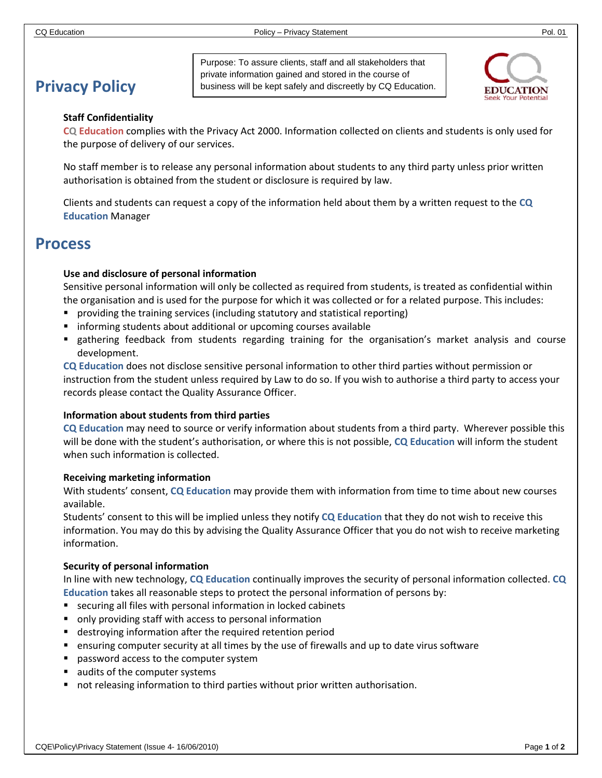# **Privacy Policy**

Purpose: To assure clients, staff and all stakeholders that private information gained and stored in the course of business will be kept safely and discreetly by CQ Education.



#### **Staff Confidentiality**

**CQ Education** complies with the Privacy Act 2000. Information collected on clients and students is only used for the purpose of delivery of our services.

No staff member is to release any personal information about students to any third party unless prior written authorisation is obtained from the student or disclosure is required by law.

Clients and students can request a copy of the information held about them by a written request to the **CQ Education** Manager

# **Process**

#### **Use and disclosure of personal information**

Sensitive personal information will only be collected as required from students, is treated as confidential within the organisation and is used for the purpose for which it was collected or for a related purpose. This includes:

- **Peroviding the training services (including statutory and statistical reporting)**
- **F** informing students about additional or upcoming courses available
- gathering feedback from students regarding training for the organisation's market analysis and course development.

**CQ Education** does not disclose sensitive personal information to other third parties without permission or instruction from the student unless required by Law to do so. If you wish to authorise a third party to access your records please contact the Quality Assurance Officer.

#### **Information about students from third parties**

**CQ Education** may need to source or verify information about students from a third party. Wherever possible this will be done with the student's authorisation, or where this is not possible, **CQ Education** will inform the student when such information is collected.

#### **Receiving marketing information**

With students' consent, **CQ Education** may provide them with information from time to time about new courses available.

Students' consent to this will be implied unless they notify **CQ Education** that they do not wish to receive this information. You may do this by advising the Quality Assurance Officer that you do not wish to receive marketing information.

#### **Security of personal information**

In line with new technology, **CQ Education** continually improves the security of personal information collected. **CQ Education** takes all reasonable steps to protect the personal information of persons by:

- securing all files with personal information in locked cabinets
- only providing staff with access to personal information
- destroying information after the required retention period
- ensuring computer security at all times by the use of firewalls and up to date virus software
- **password access to the computer system**
- ults of the computer systems
- not releasing information to third parties without prior written authorisation.